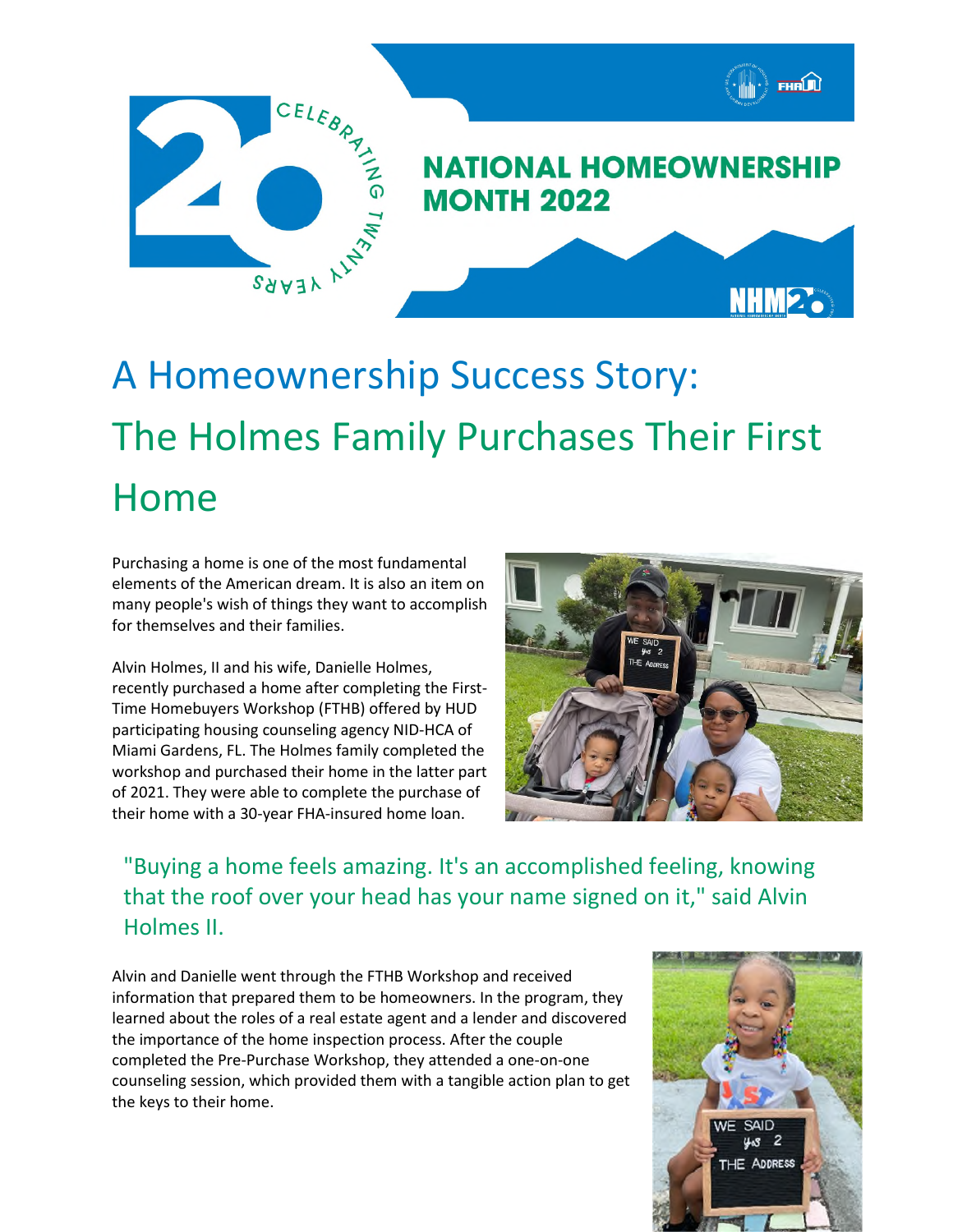

## A Homeownership Success Story: The Holmes Family Purchases Their First Home

Purchasing a home is one of the most fundamental elements of the American dream. It is also an item on many people's wish of things they want to accomplish for themselves and their families.

Alvin Holmes, II and his wife, Danielle Holmes, recently purchased a home after completing the First-Time Homebuyers Workshop (FTHB) offered by HUD participating housing counseling agency NID-HCA of Miami Gardens, FL. The Holmes family completed the workshop and purchased their home in the latter part of 2021. They were able to complete the purchase of their home with a 30-year FHA-insured home loan.



"Buying a home feels amazing. It's an accomplished feeling, knowing that the roof over your head has your name signed on it," said Alvin Holmes II.

Alvin and Danielle went through the FTHB Workshop and received information that prepared them to be homeowners. In the program, they learned about the roles of a real estate agent and a lender and discovered the importance of the home inspection process. After the couple completed the Pre-Purchase Workshop, they attended a one-on-one counseling session, which provided them with a tangible action plan to get the keys to their home.